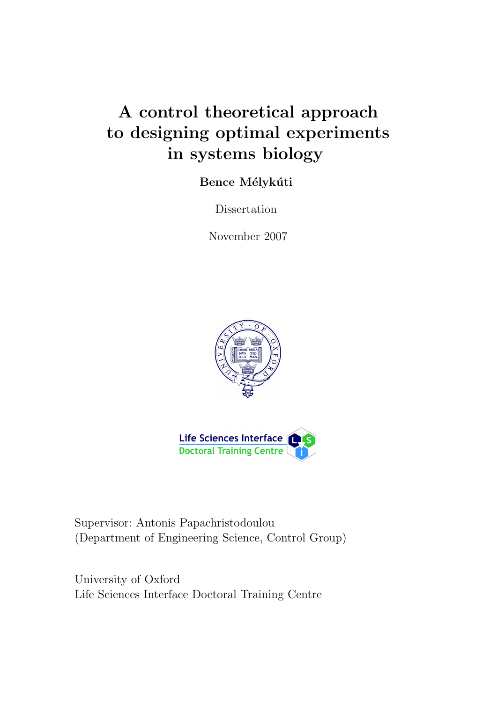# A control theoretical approach to designing optimal experiments in systems biology

Bence Mélykúti

Dissertation

November 2007





Supervisor: Antonis Papachristodoulou (Department of Engineering Science, Control Group)

University of Oxford Life Sciences Interface Doctoral Training Centre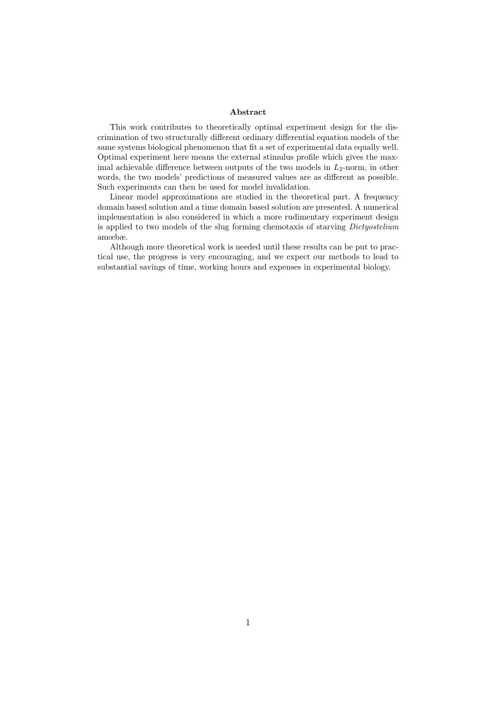#### Abstract

This work contributes to theoretically optimal experiment design for the discrimination of two structurally different ordinary differential equation models of the same systems biological phenomenon that fit a set of experimental data equally well. Optimal experiment here means the external stimulus profile which gives the maximal achievable difference between outputs of the two models in  $L_2$ -norm, in other words, the two models' predictions of measured values are as different as possible. Such experiments can then be used for model invalidation.

Linear model approximations are studied in the theoretical part. A frequency domain based solution and a time domain based solution are presented. A numerical implementation is also considered in which a more rudimentary experiment design is applied to two models of the slug forming chemotaxis of starving Dictyostelium amœbæ.

Although more theoretical work is needed until these results can be put to practical use, the progress is very encouraging, and we expect our methods to lead to substantial savings of time, working hours and expenses in experimental biology.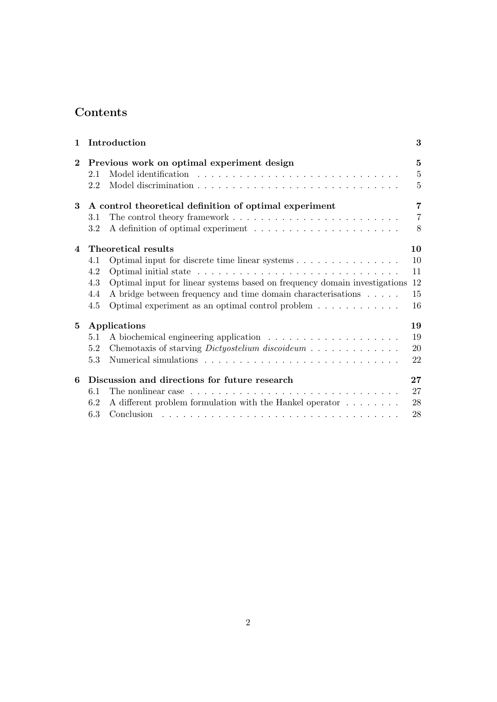## Contents

| $\mathbf{1}$   |     | Introduction                                                                                 | 3              |
|----------------|-----|----------------------------------------------------------------------------------------------|----------------|
| $\bf{2}$       |     | Previous work on optimal experiment design                                                   | $\mathbf{5}$   |
|                | 2.1 |                                                                                              | $\overline{5}$ |
|                | 2.2 |                                                                                              | $\overline{5}$ |
| 3              |     | A control theoretical definition of optimal experiment                                       | 7              |
|                | 3.1 |                                                                                              | $\overline{7}$ |
|                | 3.2 |                                                                                              | 8              |
| 4              |     | Theoretical results                                                                          | 10             |
|                | 4.1 | Optimal input for discrete time linear systems                                               | 10             |
|                | 4.2 |                                                                                              | 11             |
|                | 4.3 | Optimal input for linear systems based on frequency domain investigations                    | 12             |
|                | 4.4 | A bridge between frequency and time domain characterisations                                 | 15             |
|                | 4.5 | Optimal experiment as an optimal control problem $\dots \dots \dots \dots$                   | 16             |
| $5\phantom{.}$ |     | Applications                                                                                 | 19             |
|                | 5.1 |                                                                                              | 19             |
|                | 5.2 | Chemotaxis of starving <i>Dictyostelium discoideum</i>                                       | 20             |
|                | 5.3 |                                                                                              | 22             |
| 6              |     | Discussion and directions for future research                                                | 27             |
|                | 6.1 | The nonlinear case $\dots \dots \dots \dots \dots \dots \dots \dots \dots \dots \dots \dots$ | 27             |
|                | 6.2 | A different problem formulation with the Hankel operator $\dots \dots$                       | 28             |
|                | 6.3 |                                                                                              | 28             |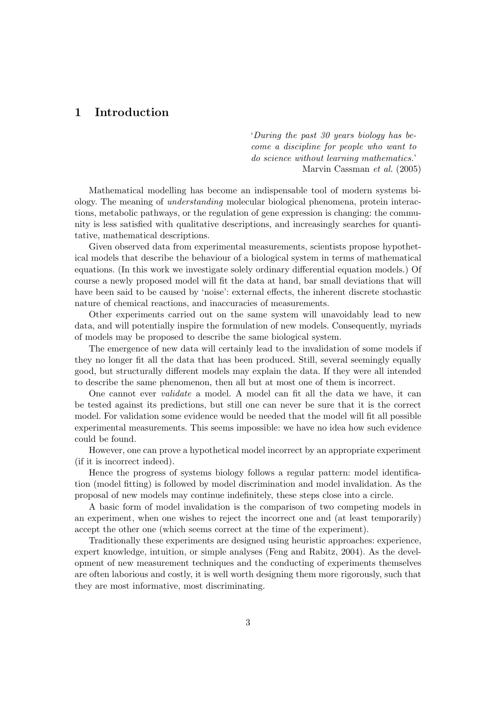## 1 Introduction

'During the past 30 years biology has become a discipline for people who want to do science without learning mathematics.' Marvin Cassman et al. (2005)

Mathematical modelling has become an indispensable tool of modern systems biology. The meaning of understanding molecular biological phenomena, protein interactions, metabolic pathways, or the regulation of gene expression is changing: the community is less satisfied with qualitative descriptions, and increasingly searches for quantitative, mathematical descriptions.

Given observed data from experimental measurements, scientists propose hypothetical models that describe the behaviour of a biological system in terms of mathematical equations. (In this work we investigate solely ordinary differential equation models.) Of course a newly proposed model will fit the data at hand, bar small deviations that will have been said to be caused by 'noise': external effects, the inherent discrete stochastic nature of chemical reactions, and inaccuracies of measurements.

Other experiments carried out on the same system will unavoidably lead to new data, and will potentially inspire the formulation of new models. Consequently, myriads of models may be proposed to describe the same biological system.

The emergence of new data will certainly lead to the invalidation of some models if they no longer fit all the data that has been produced. Still, several seemingly equally good, but structurally different models may explain the data. If they were all intended to describe the same phenomenon, then all but at most one of them is incorrect.

One cannot ever validate a model. A model can fit all the data we have, it can be tested against its predictions, but still one can never be sure that it is the correct model. For validation some evidence would be needed that the model will fit all possible experimental measurements. This seems impossible: we have no idea how such evidence could be found.

However, one can prove a hypothetical model incorrect by an appropriate experiment (if it is incorrect indeed).

Hence the progress of systems biology follows a regular pattern: model identification (model fitting) is followed by model discrimination and model invalidation. As the proposal of new models may continue indefinitely, these steps close into a circle.

A basic form of model invalidation is the comparison of two competing models in an experiment, when one wishes to reject the incorrect one and (at least temporarily) accept the other one (which seems correct at the time of the experiment).

Traditionally these experiments are designed using heuristic approaches: experience, expert knowledge, intuition, or simple analyses (Feng and Rabitz, 2004). As the development of new measurement techniques and the conducting of experiments themselves are often laborious and costly, it is well worth designing them more rigorously, such that they are most informative, most discriminating.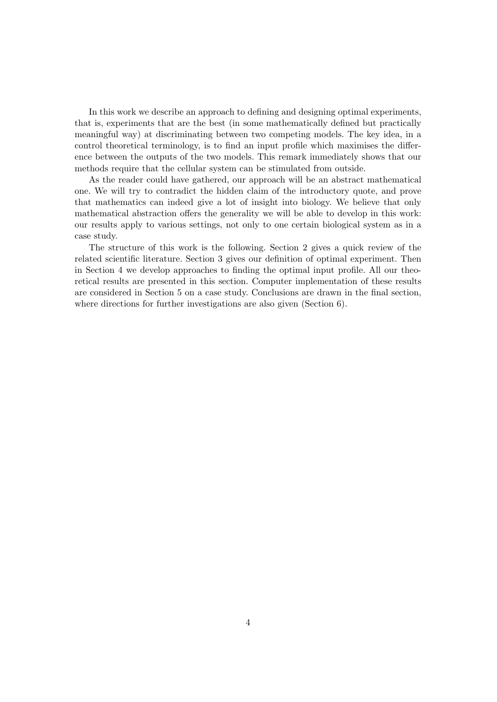In this work we describe an approach to defining and designing optimal experiments, that is, experiments that are the best (in some mathematically defined but practically meaningful way) at discriminating between two competing models. The key idea, in a control theoretical terminology, is to find an input profile which maximises the difference between the outputs of the two models. This remark immediately shows that our methods require that the cellular system can be stimulated from outside.

As the reader could have gathered, our approach will be an abstract mathematical one. We will try to contradict the hidden claim of the introductory quote, and prove that mathematics can indeed give a lot of insight into biology. We believe that only mathematical abstraction offers the generality we will be able to develop in this work: our results apply to various settings, not only to one certain biological system as in a case study.

The structure of this work is the following. Section 2 gives a quick review of the related scientific literature. Section 3 gives our definition of optimal experiment. Then in Section 4 we develop approaches to finding the optimal input profile. All our theoretical results are presented in this section. Computer implementation of these results are considered in Section 5 on a case study. Conclusions are drawn in the final section, where directions for further investigations are also given (Section 6).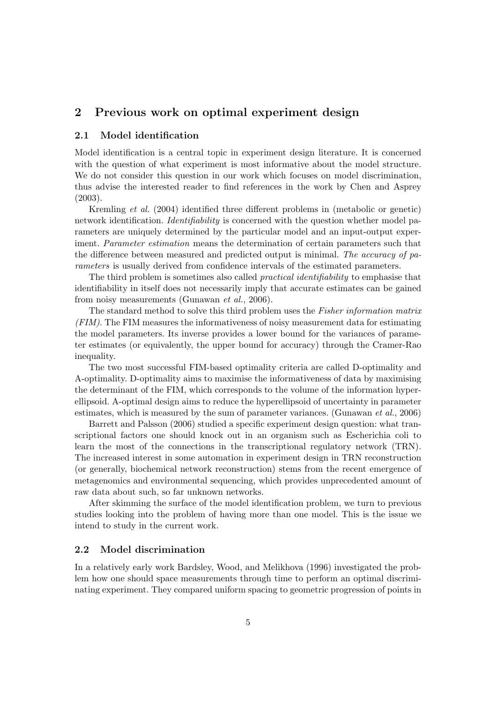## 2 Previous work on optimal experiment design

#### 2.1 Model identification

Model identification is a central topic in experiment design literature. It is concerned with the question of what experiment is most informative about the model structure. We do not consider this question in our work which focuses on model discrimination, thus advise the interested reader to find references in the work by Chen and Asprey (2003).

Kremling et al. (2004) identified three different problems in (metabolic or genetic) network identification. *Identifiability* is concerned with the question whether model parameters are uniquely determined by the particular model and an input-output experiment. *Parameter estimation* means the determination of certain parameters such that the difference between measured and predicted output is minimal. The accuracy of parameters is usually derived from confidence intervals of the estimated parameters.

The third problem is sometimes also called *practical identifiability* to emphasise that identifiability in itself does not necessarily imply that accurate estimates can be gained from noisy measurements (Gunawan et al., 2006).

The standard method to solve this third problem uses the Fisher information matrix (FIM). The FIM measures the informativeness of noisy measurement data for estimating the model parameters. Its inverse provides a lower bound for the variances of parameter estimates (or equivalently, the upper bound for accuracy) through the Cramer-Rao inequality.

The two most successful FIM-based optimality criteria are called D-optimality and A-optimality. D-optimality aims to maximise the informativeness of data by maximising the determinant of the FIM, which corresponds to the volume of the information hyperellipsoid. A-optimal design aims to reduce the hyperellipsoid of uncertainty in parameter estimates, which is measured by the sum of parameter variances. (Gunawan *et al.*, 2006)

Barrett and Palsson (2006) studied a specific experiment design question: what transcriptional factors one should knock out in an organism such as Escherichia coli to learn the most of the connections in the transcriptional regulatory network (TRN). The increased interest in some automation in experiment design in TRN reconstruction (or generally, biochemical network reconstruction) stems from the recent emergence of metagenomics and environmental sequencing, which provides unprecedented amount of raw data about such, so far unknown networks.

After skimming the surface of the model identification problem, we turn to previous studies looking into the problem of having more than one model. This is the issue we intend to study in the current work.

#### 2.2 Model discrimination

In a relatively early work Bardsley, Wood, and Melikhova (1996) investigated the problem how one should space measurements through time to perform an optimal discriminating experiment. They compared uniform spacing to geometric progression of points in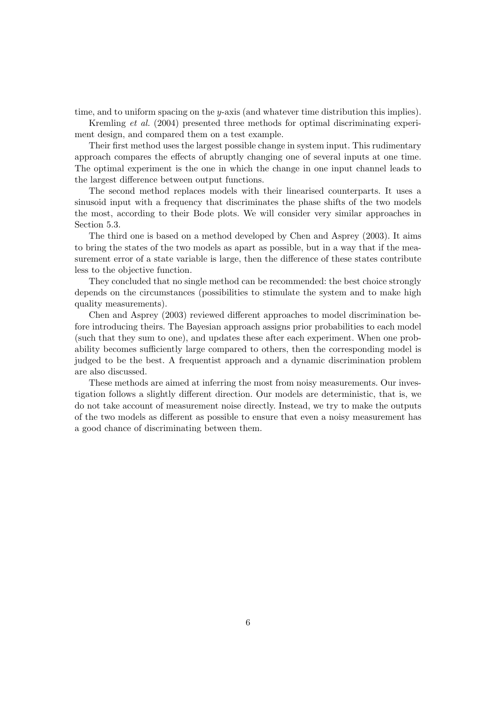time, and to uniform spacing on the y-axis (and whatever time distribution this implies).

Kremling et al. (2004) presented three methods for optimal discriminating experiment design, and compared them on a test example.

Their first method uses the largest possible change in system input. This rudimentary approach compares the effects of abruptly changing one of several inputs at one time. The optimal experiment is the one in which the change in one input channel leads to the largest difference between output functions.

The second method replaces models with their linearised counterparts. It uses a sinusoid input with a frequency that discriminates the phase shifts of the two models the most, according to their Bode plots. We will consider very similar approaches in Section 5.3.

The third one is based on a method developed by Chen and Asprey (2003). It aims to bring the states of the two models as apart as possible, but in a way that if the measurement error of a state variable is large, then the difference of these states contribute less to the objective function.

They concluded that no single method can be recommended: the best choice strongly depends on the circumstances (possibilities to stimulate the system and to make high quality measurements).

Chen and Asprey (2003) reviewed different approaches to model discrimination before introducing theirs. The Bayesian approach assigns prior probabilities to each model (such that they sum to one), and updates these after each experiment. When one probability becomes sufficiently large compared to others, then the corresponding model is judged to be the best. A frequentist approach and a dynamic discrimination problem are also discussed.

These methods are aimed at inferring the most from noisy measurements. Our investigation follows a slightly different direction. Our models are deterministic, that is, we do not take account of measurement noise directly. Instead, we try to make the outputs of the two models as different as possible to ensure that even a noisy measurement has a good chance of discriminating between them.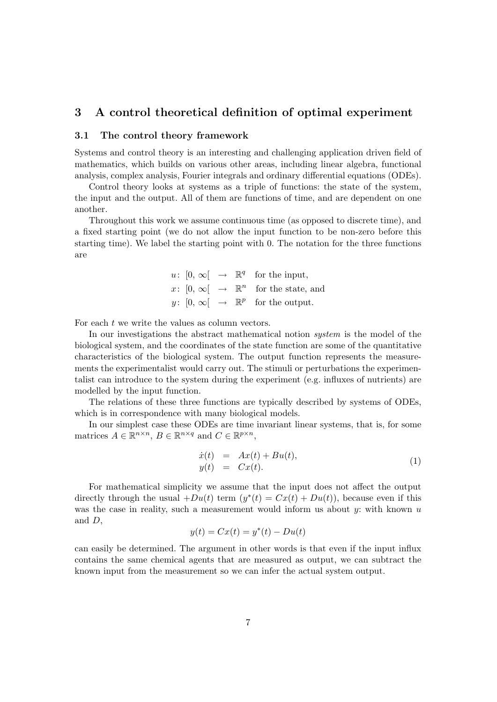## 3 A control theoretical definition of optimal experiment

#### 3.1 The control theory framework

Systems and control theory is an interesting and challenging application driven field of mathematics, which builds on various other areas, including linear algebra, functional analysis, complex analysis, Fourier integrals and ordinary differential equations (ODEs).

Control theory looks at systems as a triple of functions: the state of the system, the input and the output. All of them are functions of time, and are dependent on one another.

Throughout this work we assume continuous time (as opposed to discrete time), and a fixed starting point (we do not allow the input function to be non-zero before this starting time). We label the starting point with 0. The notation for the three functions are

$$
u: [0, \infty[ \rightarrow \mathbb{R}^q \text{ for the input},
$$
  

$$
x: [0, \infty[ \rightarrow \mathbb{R}^n \text{ for the state, and}
$$
  

$$
y: [0, \infty[ \rightarrow \mathbb{R}^p \text{ for the output.}
$$

For each  $t$  we write the values as column vectors.

In our investigations the abstract mathematical notion system is the model of the biological system, and the coordinates of the state function are some of the quantitative characteristics of the biological system. The output function represents the measurements the experimentalist would carry out. The stimuli or perturbations the experimentalist can introduce to the system during the experiment (e.g. influxes of nutrients) are modelled by the input function.

The relations of these three functions are typically described by systems of ODEs, which is in correspondence with many biological models.

In our simplest case these ODEs are time invariant linear systems, that is, for some matrices  $A \in \mathbb{R}^{n \times n}$ ,  $B \in \mathbb{R}^{n \times q}$  and  $C \in \mathbb{R}^{p \times n}$ ,

$$
\begin{array}{rcl}\n\dot{x}(t) & = & Ax(t) + Bu(t), \\
y(t) & = & Cx(t).\n\end{array} \tag{1}
$$

For mathematical simplicity we assume that the input does not affect the output directly through the usual  $+Du(t)$  term  $(y^*(t) = Cx(t) + Du(t))$ , because even if this was the case in reality, such a measurement would inform us about  $y$ : with known  $u$ and D,

$$
y(t) = Cx(t) = y^*(t) - Du(t)
$$

can easily be determined. The argument in other words is that even if the input influx contains the same chemical agents that are measured as output, we can subtract the known input from the measurement so we can infer the actual system output.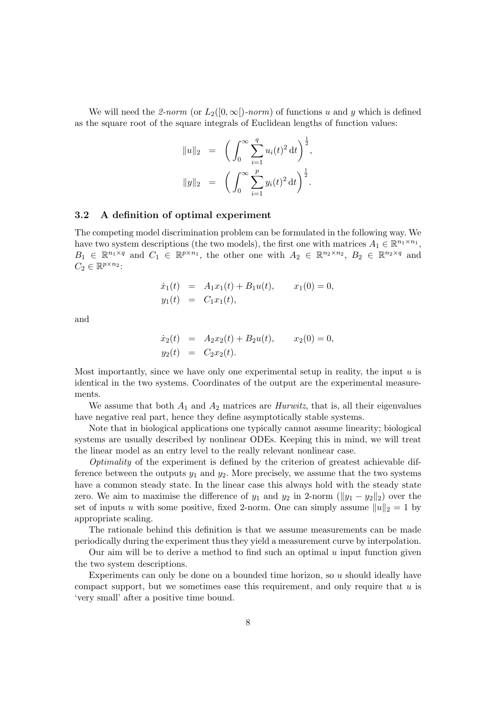We will need the 2-norm (or  $L_2([0,\infty])$ -norm) of functions u and y which is defined as the square root of the square integrals of Euclidean lengths of function values:

$$
||u||_2 = \left(\int_0^\infty \sum_{i=1}^q u_i(t)^2 dt\right)^{\frac{1}{2}},
$$
  

$$
||y||_2 = \left(\int_0^\infty \sum_{i=1}^p y_i(t)^2 dt\right)^{\frac{1}{2}}.
$$

#### 3.2 A definition of optimal experiment

The competing model discrimination problem can be formulated in the following way. We have two system descriptions (the two models), the first one with matrices  $A_1 \in \mathbb{R}^{n_1 \times n_1}$ ,  $B_1 \in \mathbb{R}^{n_1 \times q}$  and  $C_1 \in \mathbb{R}^{p \times n_1}$ , the other one with  $A_2 \in \mathbb{R}^{n_2 \times n_2}$ ,  $B_2 \in \mathbb{R}^{n_2 \times q}$  and  $C_2 \in \mathbb{R}^{p \times n_2}$ :

$$
\dot{x}_1(t) = A_1 x_1(t) + B_1 u(t), \qquad x_1(0) = 0,
$$
  
\n
$$
y_1(t) = C_1 x_1(t),
$$

and

$$
\dot{x}_2(t) = A_2 x_2(t) + B_2 u(t), \qquad x_2(0) = 0,
$$
  

$$
y_2(t) = C_2 x_2(t).
$$

Most importantly, since we have only one experimental setup in reality, the input  $u$  is identical in the two systems. Coordinates of the output are the experimental measurements.

We assume that both  $A_1$  and  $A_2$  matrices are *Hurwitz*, that is, all their eigenvalues have negative real part, hence they define asymptotically stable systems.

Note that in biological applications one typically cannot assume linearity; biological systems are usually described by nonlinear ODEs. Keeping this in mind, we will treat the linear model as an entry level to the really relevant nonlinear case.

Optimality of the experiment is defined by the criterion of greatest achievable difference between the outputs  $y_1$  and  $y_2$ . More precisely, we assume that the two systems have a common steady state. In the linear case this always hold with the steady state zero. We aim to maximise the difference of  $y_1$  and  $y_2$  in 2-norm ( $||y_1 - y_2||_2$ ) over the set of inputs u with some positive, fixed 2-norm. One can simply assume  $||u||_2 = 1$  by appropriate scaling.

The rationale behind this definition is that we assume measurements can be made periodically during the experiment thus they yield a measurement curve by interpolation.

Our aim will be to derive a method to find such an optimal  $u$  input function given the two system descriptions.

Experiments can only be done on a bounded time horizon, so  $u$  should ideally have compact support, but we sometimes ease this requirement, and only require that  $u$  is 'very small' after a positive time bound.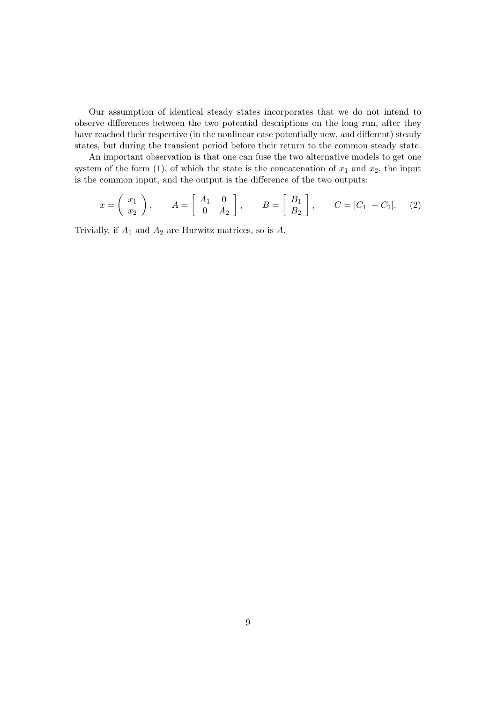Our assumption of identical steady states incorporates that we do not intend to observe differences between the two potential descriptions on the long run, after they have reached their respective (in the nonlinear case potentially new, and different) steady states, but during the transient period before their return to the common steady state.

An important observation is that one can fuse the two alternative models to get one system of the form (1), of which the state is the concatenation of  $x_1$  and  $x_2$ , the input is the common input, and the output is the difference of the two outputs:

$$
x = \begin{pmatrix} x_1 \\ x_2 \end{pmatrix}, \qquad A = \begin{bmatrix} A_1 & 0 \\ 0 & A_2 \end{bmatrix}, \qquad B = \begin{bmatrix} B_1 \\ B_2 \end{bmatrix}, \qquad C = [C_1 - C_2]. \tag{2}
$$

Trivially, if  $A_1$  and  $A_2$  are Hurwitz matrices, so is  $A$ .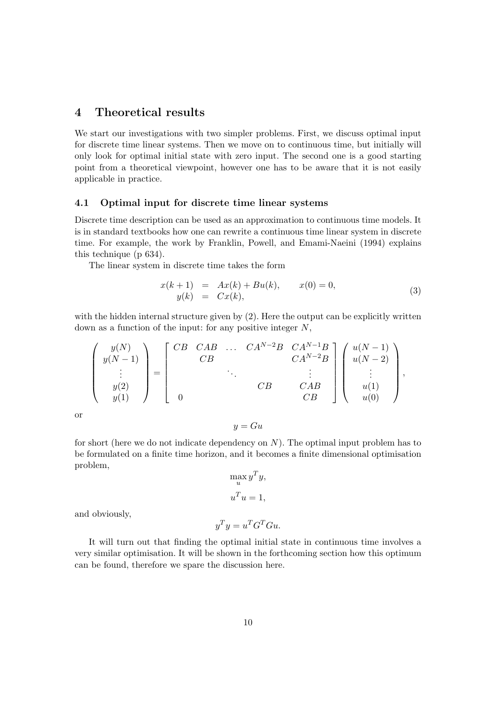## 4 Theoretical results

We start our investigations with two simpler problems. First, we discuss optimal input for discrete time linear systems. Then we move on to continuous time, but initially will only look for optimal initial state with zero input. The second one is a good starting point from a theoretical viewpoint, however one has to be aware that it is not easily applicable in practice.

#### 4.1 Optimal input for discrete time linear systems

Discrete time description can be used as an approximation to continuous time models. It is in standard textbooks how one can rewrite a continuous time linear system in discrete time. For example, the work by Franklin, Powell, and Emami-Naeini (1994) explains this technique (p 634).

The linear system in discrete time takes the form

$$
x(k+1) = Ax(k) + Bu(k), \t x(0) = 0,\n y(k) = Cx(k), \t (3)
$$

with the hidden internal structure given by (2). Here the output can be explicitly written down as a function of the input: for any positive integer  $N$ ,

$$
\begin{pmatrix} y(N) \\ y(N-1) \\ \vdots \\ y(2) \\ y(1) \end{pmatrix} = \begin{bmatrix} CB & CAB & \dots & CA^{N-2}B & CA^{N-1}B \\ CB & & & CA^{N-2}B \\ & & & & \vdots \\ 0 & & & & CB \end{bmatrix} \begin{pmatrix} u(N-1) \\ u(N-2) \\ \vdots \\ u(1) \\ u(0) \end{pmatrix},
$$

or

$$
y = Gu
$$

for short (here we do not indicate dependency on  $N$ ). The optimal input problem has to be formulated on a finite time horizon, and it becomes a finite dimensional optimisation problem,

$$
\max_{u} y^T y,
$$

$$
u^T u = 1,
$$

 $y^T y = u^T G^T G u.$ 

and obviously,

It will turn out that finding the optimal initial state in continuous time involves a very similar optimisation. It will be shown in the forthcoming section how this optimum can be found, therefore we spare the discussion here.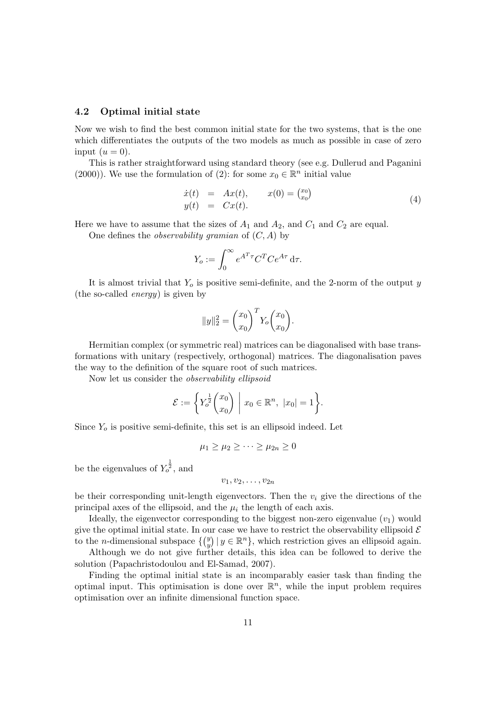#### 4.2 Optimal initial state

Now we wish to find the best common initial state for the two systems, that is the one which differentiates the outputs of the two models as much as possible in case of zero input  $(u = 0)$ .

This is rather straightforward using standard theory (see e.g. Dullerud and Paganini (2000)). We use the formulation of (2): for some  $x_0 \in \mathbb{R}^n$  initial value

$$
\begin{array}{rcl}\n\dot{x}(t) & = & Ax(t), & x(0) = \binom{x_0}{x_0} \\
y(t) & = & Cx(t).\n\end{array} \tag{4}
$$

Here we have to assume that the sizes of  $A_1$  and  $A_2$ , and  $C_1$  and  $C_2$  are equal.

One defines the *observability gramian* of  $(C, A)$  by

$$
Y_o := \int_0^\infty e^{A^T \tau} C^T C e^{A \tau} d\tau.
$$

It is almost trivial that  $Y_o$  is positive semi-definite, and the 2-norm of the output y (the so-called energy) is given by

$$
||y||_2^2 = {x_0 \choose x_0}^T Y_o {x_0 \choose x_0}.
$$

Hermitian complex (or symmetric real) matrices can be diagonalised with base transformations with unitary (respectively, orthogonal) matrices. The diagonalisation paves the way to the definition of the square root of such matrices.

Now let us consider the observability ellipsoid

$$
\mathcal{E} := \left\{ Y_o^{\frac{1}{2}} \begin{pmatrix} x_0 \\ x_0 \end{pmatrix} \middle| x_0 \in \mathbb{R}^n, \ |x_0| = 1 \right\}.
$$

Since  $Y<sub>o</sub>$  is positive semi-definite, this set is an ellipsoid indeed. Let

$$
\mu_1 \geq \mu_2 \geq \cdots \geq \mu_{2n} \geq 0
$$

be the eigenvalues of  $Y_o^{\frac{1}{2}}$ , and

 $v_1, v_2, \ldots, v_{2n}$ 

be their corresponding unit-length eigenvectors. Then the  $v_i$  give the directions of the principal axes of the ellipsoid, and the  $\mu_i$  the length of each axis.

Ideally, the eigenvector corresponding to the biggest non-zero eigenvalue  $(v_1)$  would give the optimal initial state. In our case we have to restrict the observability ellipsoid  $\mathcal E$ to the *n*-dimensional subspace  $\{ \begin{pmatrix} y \\ y \end{pmatrix}$  $y(y \mid y \in \mathbb{R}^n)$ , which restriction gives an ellipsoid again.

Although we do not give further details, this idea can be followed to derive the solution (Papachristodoulou and El-Samad, 2007).

Finding the optimal initial state is an incomparably easier task than finding the optimal input. This optimisation is done over  $\mathbb{R}^n$ , while the input problem requires optimisation over an infinite dimensional function space.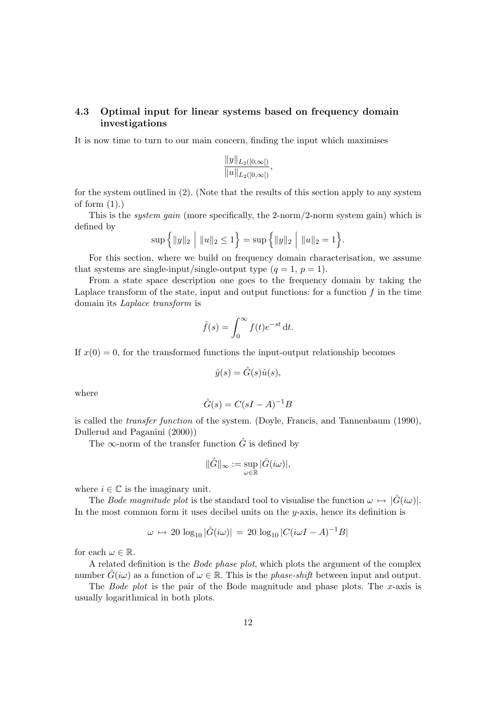#### 4.3 Optimal input for linear systems based on frequency domain investigations

It is now time to turn to our main concern, finding the input which maximises

$$
\frac{\|y\|_{L_2([0,\infty[)}}{\|u\|_{L_2([0,\infty[)}},
$$

for the system outlined in (2). (Note that the results of this section apply to any system of form  $(1).$ 

This is the system gain (more specifically, the 2-norm/2-norm system gain) which is defined by

$$
\sup \Big\{\|y\|_2 \;\Big|\; \|u\|_2 \leq 1\Big\} = \sup \Big\{\|y\|_2 \;\Big|\; \|u\|_2 = 1\Big\}.
$$

For this section, where we build on frequency domain characterisation, we assume that systems are single-input/single-output type  $(q = 1, p = 1)$ .

From a state space description one goes to the frequency domain by taking the Laplace transform of the state, input and output functions: for a function  $f$  in the time domain its Laplace transform is

$$
\hat{f}(s) = \int_0^\infty f(t)e^{-st} dt.
$$

If  $x(0) = 0$ , for the transformed functions the input-output relationship becomes

$$
\hat{y}(s) = \hat{G}(s)\hat{u}(s),
$$

where

$$
\hat{G}(s) = C(sI - A)^{-1}B
$$

is called the transfer function of the system. (Doyle, Francis, and Tannenbaum (1990), Dullerud and Paganini (2000))

The  $\infty$ -norm of the transfer function  $\hat{G}$  is defined by

$$
\|\hat{G}\|_{\infty}:=\sup_{\omega\in\mathbb{R}}|\hat{G}(i\omega)|,
$$

where  $i \in \mathbb{C}$  is the imaginary unit.

The Bode magnitude plot is the standard tool to visualise the function  $\omega \mapsto |\hat{G}(i\omega)|$ . In the most common form it uses decibel units on the  $y$ -axis, hence its definition is

$$
\omega \, \mapsto \, 20 \, \log_{10} |\hat{G}(i\omega)| \, = \, 20 \, \log_{10} |C(i\omega I - A)^{-1}B|
$$

for each  $\omega \in \mathbb{R}$ .

A related definition is the Bode phase plot, which plots the argument of the complex number  $G(i\omega)$  as a function of  $\omega \in \mathbb{R}$ . This is the *phase-shift* between input and output.

The Bode plot is the pair of the Bode magnitude and phase plots. The x-axis is usually logarithmical in both plots.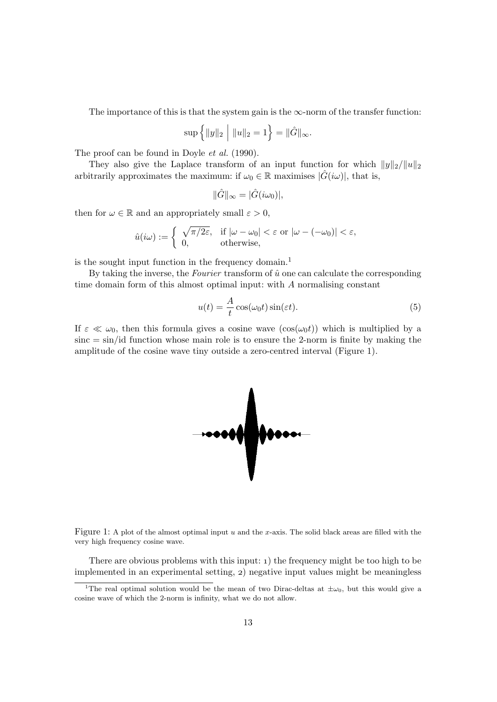The importance of this is that the system gain is the  $\infty$ -norm of the transfer function:

$$
\sup \{ ||y||_2 \mid ||u||_2 = 1 \} = ||\hat{G}||_{\infty}.
$$

The proof can be found in Doyle et al. (1990).

They also give the Laplace transform of an input function for which  $||y||_2/||u||_2$ arbitrarily approximates the maximum: if  $\omega_0 \in \mathbb{R}$  maximises  $|\hat{G}(i\omega)|$ , that is,

$$
\|\hat{G}\|_{\infty} = |\hat{G}(i\omega_0)|,
$$

then for  $\omega \in \mathbb{R}$  and an appropriately small  $\varepsilon > 0$ ,

$$
\hat{u}(i\omega) := \begin{cases}\n\sqrt{\pi/2\varepsilon}, & \text{if } |\omega - \omega_0| < \varepsilon \text{ or } |\omega - (-\omega_0)| < \varepsilon, \\
0, & \text{otherwise,} \n\end{cases}
$$

is the sought input function in the frequency domain.<sup>1</sup>

By taking the inverse, the Fourier transform of  $\hat{u}$  one can calculate the corresponding time domain form of this almost optimal input: with A normalising constant

$$
u(t) = \frac{A}{t}\cos(\omega_0 t)\sin(\varepsilon t). \tag{5}
$$

If  $\varepsilon \ll \omega_0$ , then this formula gives a cosine wave  $(\cos(\omega_0 t))$  which is multiplied by a  $sinc = sin/id$  function whose main role is to ensure the 2-norm is finite by making the amplitude of the cosine wave tiny outside a zero-centred interval (Figure 1).



Figure 1: A plot of the almost optimal input  $u$  and the x-axis. The solid black areas are filled with the very high frequency cosine wave.

There are obvious problems with this input:  $\iota$ ) the frequency might be too high to be implemented in an experimental setting, 2) negative input values might be meaningless

<sup>&</sup>lt;sup>1</sup>The real optimal solution would be the mean of two Dirac-deltas at  $\pm \omega_0$ , but this would give a cosine wave of which the 2-norm is infinity, what we do not allow.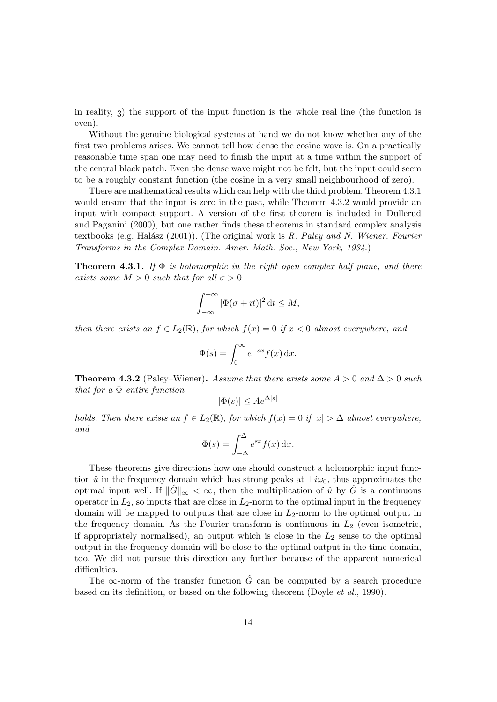in reality,  $\alpha$ ) the support of the input function is the whole real line (the function is even).

Without the genuine biological systems at hand we do not know whether any of the first two problems arises. We cannot tell how dense the cosine wave is. On a practically reasonable time span one may need to finish the input at a time within the support of the central black patch. Even the dense wave might not be felt, but the input could seem to be a roughly constant function (the cosine in a very small neighbourhood of zero).

There are mathematical results which can help with the third problem. Theorem 4.3.1 would ensure that the input is zero in the past, while Theorem 4.3.2 would provide an input with compact support. A version of the first theorem is included in Dullerud and Paganini (2000), but one rather finds these theorems in standard complex analysis textbooks (e.g. Halász  $(2001)$ ). (The original work is R. Paley and N. Wiener. Fourier Transforms in the Complex Domain. Amer. Math. Soc., New York, 1934.)

**Theorem 4.3.1.** If  $\Phi$  is holomorphic in the right open complex half plane, and there exists some  $M > 0$  such that for all  $\sigma > 0$ 

$$
\int_{-\infty}^{+\infty} |\Phi(\sigma + it)|^2 dt \le M,
$$

then there exists an  $f \in L_2(\mathbb{R})$ , for which  $f(x) = 0$  if  $x < 0$  almost everywhere, and

$$
\Phi(s) = \int_0^\infty e^{-sx} f(x) \, \mathrm{d}x.
$$

**Theorem 4.3.2** (Paley–Wiener). Assume that there exists some  $A > 0$  and  $\Delta > 0$  such that for a Φ entire function

$$
|\Phi(s)| \le A e^{\Delta|s|}
$$

holds. Then there exists an  $f \in L_2(\mathbb{R})$ , for which  $f(x) = 0$  if  $|x| > \Delta$  almost everywhere, and

$$
\Phi(s) = \int_{-\Delta}^{\Delta} e^{sx} f(x) \, \mathrm{d}x.
$$

These theorems give directions how one should construct a holomorphic input function  $\hat{u}$  in the frequency domain which has strong peaks at  $\pm i\omega_0$ , thus approximates the optimal input well. If  $\|\hat{G}\|_{\infty} < \infty$ , then the multiplication of  $\hat{u}$  by  $\hat{G}$  is a continuous operator in  $L_2$ , so inputs that are close in  $L_2$ -norm to the optimal input in the frequency domain will be mapped to outputs that are close in  $L_2$ -norm to the optimal output in the frequency domain. As the Fourier transform is continuous in  $L_2$  (even isometric, if appropriately normalised), an output which is close in the  $L_2$  sense to the optimal output in the frequency domain will be close to the optimal output in the time domain, too. We did not pursue this direction any further because of the apparent numerical difficulties.

The  $\infty$ -norm of the transfer function  $\hat{G}$  can be computed by a search procedure based on its definition, or based on the following theorem (Doyle et al., 1990).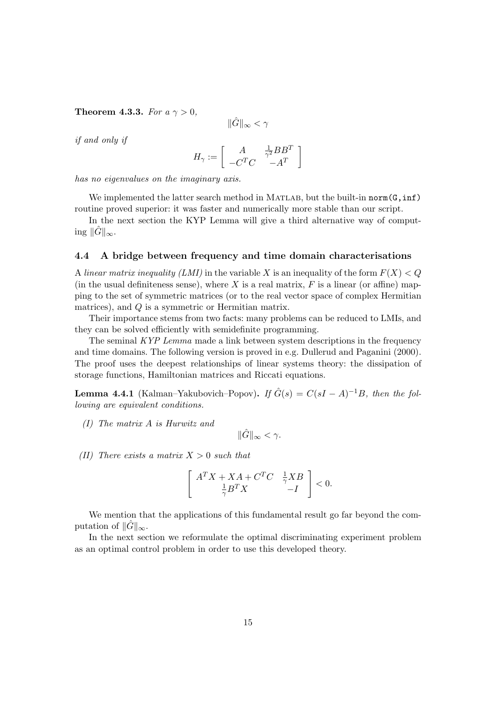Theorem 4.3.3. For  $a \gamma > 0$ ,

$$
\|\hat{G}\|_{\infty}<\gamma
$$

if and only if

$$
H_\gamma := \left[\begin{array}{cc} A & \frac{1}{\gamma^2}BB^T \\ -C^TC & -A^T \end{array}\right]
$$

has no eigenvalues on the imaginary axis.

We implemented the latter search method in MATLAB, but the built-in norm $(G, inf)$ routine proved superior: it was faster and numerically more stable than our script.

In the next section the KYP Lemma will give a third alternative way of computing  $\|\tilde{G}\|_{\infty}$ .

#### 4.4 A bridge between frequency and time domain characterisations

A linear matrix inequality (LMI) in the variable X is an inequality of the form  $F(X) < Q$ (in the usual definiteness sense), where X is a real matrix,  $F$  is a linear (or affine) mapping to the set of symmetric matrices (or to the real vector space of complex Hermitian matrices), and Q is a symmetric or Hermitian matrix.

Their importance stems from two facts: many problems can be reduced to LMIs, and they can be solved efficiently with semidefinite programming.

The seminal KYP Lemma made a link between system descriptions in the frequency and time domains. The following version is proved in e.g. Dullerud and Paganini (2000). The proof uses the deepest relationships of linear systems theory: the dissipation of storage functions, Hamiltonian matrices and Riccati equations.

**Lemma 4.4.1** (Kalman–Yakubovich–Popov). If  $\hat{G}(s) = C(sI - A)^{-1}B$ , then the following are equivalent conditions.

(I) The matrix A is Hurwitz and

$$
\|\hat{G}\|_{\infty} < \gamma.
$$

(II) There exists a matrix  $X > 0$  such that

$$
\left[\begin{array}{cc}A^TX+XA+C^TC & \frac{1}{\gamma}XB\\ \frac{1}{\gamma}B^TX & -I\end{array}\right]<0.
$$

We mention that the applications of this fundamental result go far beyond the computation of  $\|\tilde{G}\|_{\infty}$ .

In the next section we reformulate the optimal discriminating experiment problem as an optimal control problem in order to use this developed theory.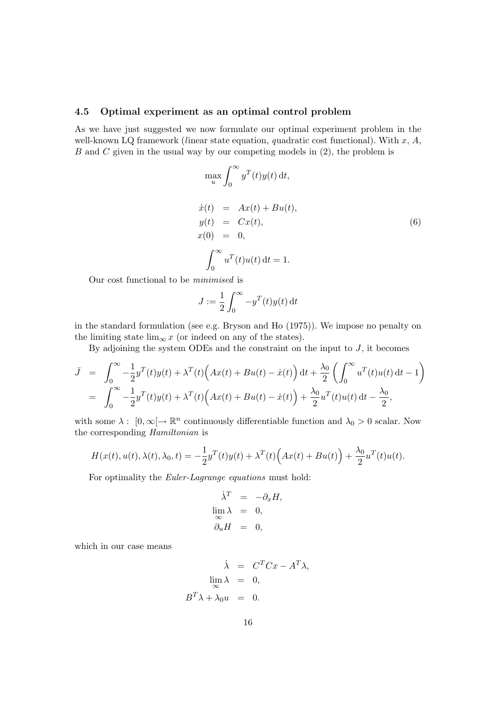#### 4.5 Optimal experiment as an optimal control problem

As we have just suggested we now formulate our optimal experiment problem in the well-known LQ framework (linear state equation, quadratic cost functional). With  $x, A$ ,  $B$  and  $C$  given in the usual way by our competing models in  $(2)$ , the problem is

$$
\max_{u} \int_{0}^{\infty} y^{T}(t)y(t) dt,
$$
  
\n
$$
\dot{x}(t) = Ax(t) + Bu(t),
$$
  
\n
$$
y(t) = Cx(t),
$$
  
\n
$$
x(0) = 0,
$$
  
\n
$$
\int_{0}^{\infty} u^{T}(t)u(t) dt = 1.
$$
\n(6)

Our cost functional to be minimised is

$$
J := \frac{1}{2} \int_0^\infty -y^T(t)y(t) dt
$$

in the standard formulation (see e.g. Bryson and Ho (1975)). We impose no penalty on the limiting state lim<sub>∞</sub> x (or indeed on any of the states).

By adjoining the system ODEs and the constraint on the input to  $J$ , it becomes

$$
\overline{J} = \int_0^\infty -\frac{1}{2} y^T(t) y(t) + \lambda^T(t) \Big( Ax(t) + Bu(t) - \dot{x}(t) \Big) dt + \frac{\lambda_0}{2} \left( \int_0^\infty u^T(t) u(t) dt - 1 \right)
$$
  
= 
$$
\int_0^\infty -\frac{1}{2} y^T(t) y(t) + \lambda^T(t) \Big( Ax(t) + Bu(t) - \dot{x}(t) \Big) + \frac{\lambda_0}{2} u^T(t) u(t) dt - \frac{\lambda_0}{2},
$$

with some  $\lambda: [0, \infty] \to \mathbb{R}^n$  continuously differentiable function and  $\lambda_0 > 0$  scalar. Now the corresponding Hamiltonian is

$$
H(x(t),u(t),\lambda(t),\lambda_0,t)=-\frac{1}{2}y^T(t)y(t)+\lambda^T(t)\Big(Ax(t)+Bu(t)\Big)+\frac{\lambda_0}{2}u^T(t)u(t).
$$

For optimality the Euler-Lagrange equations must hold:

$$
\dot{\lambda}^T = -\partial_x H,
$$
  
\n
$$
\lim_{\infty} \lambda = 0,
$$
  
\n
$$
\partial_u H = 0,
$$

which in our case means

$$
\dot{\lambda} = C^T C x - A^T \lambda,
$$
  
\n
$$
\lim_{\infty} \lambda = 0,
$$
  
\n
$$
B^T \lambda + \lambda_0 u = 0.
$$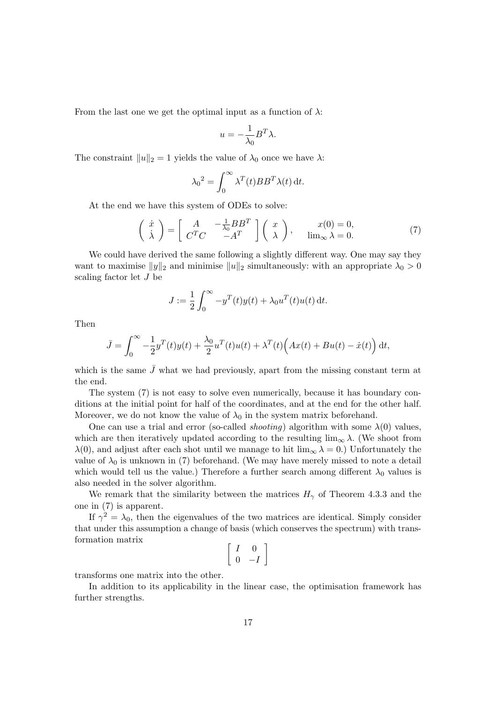From the last one we get the optimal input as a function of  $\lambda$ :

$$
u = -\frac{1}{\lambda_0} B^T \lambda.
$$

The constraint  $||u||_2 = 1$  yields the value of  $\lambda_0$  once we have  $\lambda$ :

$$
\lambda_0^2 = \int_0^\infty \lambda^T(t) BB^T \lambda(t) dt.
$$

At the end we have this system of ODEs to solve:

$$
\begin{pmatrix}\n\dot{x} \\
\dot{\lambda}\n\end{pmatrix} = \begin{bmatrix}\nA & -\frac{1}{\lambda_0}BB^T \\
C^TC & -A^T\n\end{bmatrix} \begin{pmatrix}\nx \\
\lambda\n\end{pmatrix}, \quad \begin{aligned}\nx(0) &= 0, \\
\lim_{\infty} \lambda &= 0.\n\end{aligned}
$$
\n(7)

We could have derived the same following a slightly different way. One may say they want to maximise  $||y||_2$  and minimise  $||u||_2$  simultaneously: with an appropriate  $\lambda_0 > 0$ scaling factor let J be

$$
J := \frac{1}{2} \int_0^\infty -y^T(t)y(t) + \lambda_0 u^T(t)u(t) dt.
$$

Then

$$
\bar{J} = \int_0^\infty -\frac{1}{2}y^T(t)y(t) + \frac{\lambda_0}{2}u^T(t)u(t) + \lambda^T(t)\Big(Ax(t) + Bu(t) - \dot{x}(t)\Big) dt,
$$

which is the same  $\bar{J}$  what we had previously, apart from the missing constant term at the end.

The system (7) is not easy to solve even numerically, because it has boundary conditions at the initial point for half of the coordinates, and at the end for the other half. Moreover, we do not know the value of  $\lambda_0$  in the system matrix beforehand.

One can use a trial and error (so-called *shooting*) algorithm with some  $\lambda(0)$  values, which are then iteratively updated according to the resulting  $\lim_{\infty} \lambda$ . (We shoot from  $\lambda(0)$ , and adjust after each shot until we manage to hit  $\lim_{\infty} \lambda = 0$ .) Unfortunately the value of  $\lambda_0$  is unknown in (7) beforehand. (We may have merely missed to note a detail which would tell us the value.) Therefore a further search among different  $\lambda_0$  values is also needed in the solver algorithm.

We remark that the similarity between the matrices  $H_{\gamma}$  of Theorem 4.3.3 and the one in (7) is apparent.

If  $\gamma^2 = \lambda_0$ , then the eigenvalues of the two matrices are identical. Simply consider that under this assumption a change of basis (which conserves the spectrum) with transformation matrix

$$
\left[\begin{array}{cc} I & 0 \\ 0 & -I \end{array}\right]
$$

transforms one matrix into the other.

In addition to its applicability in the linear case, the optimisation framework has further strengths.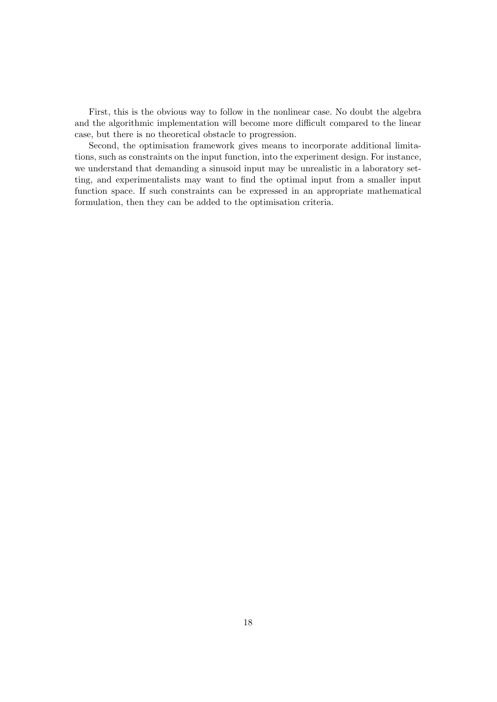First, this is the obvious way to follow in the nonlinear case. No doubt the algebra and the algorithmic implementation will become more difficult compared to the linear case, but there is no theoretical obstacle to progression.

Second, the optimisation framework gives means to incorporate additional limitations, such as constraints on the input function, into the experiment design. For instance, we understand that demanding a sinusoid input may be unrealistic in a laboratory setting, and experimentalists may want to find the optimal input from a smaller input function space. If such constraints can be expressed in an appropriate mathematical formulation, then they can be added to the optimisation criteria.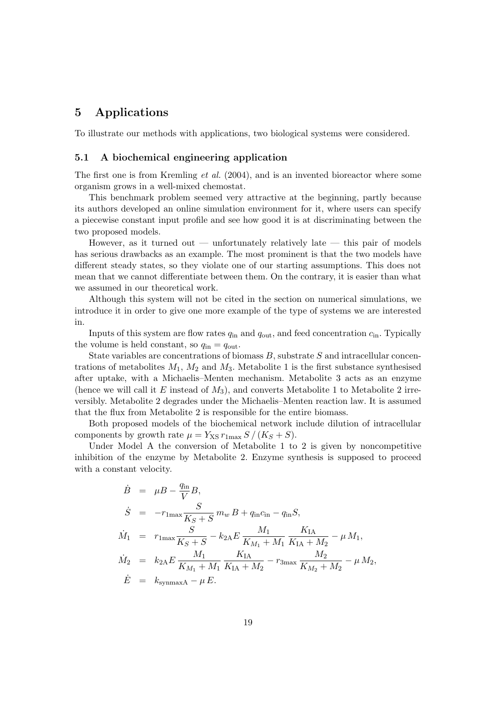## 5 Applications

To illustrate our methods with applications, two biological systems were considered.

#### 5.1 A biochemical engineering application

The first one is from Kremling *et al.* (2004), and is an invented bioreactor where some organism grows in a well-mixed chemostat.

This benchmark problem seemed very attractive at the beginning, partly because its authors developed an online simulation environment for it, where users can specify a piecewise constant input profile and see how good it is at discriminating between the two proposed models.

However, as it turned out — unfortunately relatively late — this pair of models has serious drawbacks as an example. The most prominent is that the two models have different steady states, so they violate one of our starting assumptions. This does not mean that we cannot differentiate between them. On the contrary, it is easier than what we assumed in our theoretical work.

Although this system will not be cited in the section on numerical simulations, we introduce it in order to give one more example of the type of systems we are interested in.

Inputs of this system are flow rates  $q_{\rm in}$  and  $q_{\rm out}$ , and feed concentration  $c_{\rm in}$ . Typically the volume is held constant, so  $q_{\text{in}} = q_{\text{out}}$ .

State variables are concentrations of biomass  $B$ , substrate  $S$  and intracellular concentrations of metabolites  $M_1$ ,  $M_2$  and  $M_3$ . Metabolite 1 is the first substance synthesised after uptake, with a Michaelis–Menten mechanism. Metabolite 3 acts as an enzyme (hence we will call it E instead of  $M_3$ ), and converts Metabolite 1 to Metabolite 2 irreversibly. Metabolite 2 degrades under the Michaelis–Menten reaction law. It is assumed that the flux from Metabolite 2 is responsible for the entire biomass.

Both proposed models of the biochemical network include dilution of intracellular components by growth rate  $\mu = Y_{\text{XS}} r_{\text{1max}} S / (K_S + S)$ .

Under Model A the conversion of Metabolite 1 to 2 is given by noncompetitive inhibition of the enzyme by Metabolite 2. Enzyme synthesis is supposed to proceed with a constant velocity.

$$
\dot{B} = \mu B - \frac{q_{\rm in}}{V} B,
$$
\n
$$
\dot{S} = -r_{\rm 1max} \frac{S}{K_S + S} m_w B + q_{\rm in} c_{\rm in} - q_{\rm in} S,
$$
\n
$$
\dot{M}_1 = r_{\rm 1max} \frac{S}{K_S + S} - k_{2A} E \frac{M_1}{K_{M_1} + M_1} \frac{K_{\rm IA}}{K_{\rm IA} + M_2} - \mu M_1,
$$
\n
$$
\dot{M}_2 = k_{2A} E \frac{M_1}{K_{M_1} + M_1} \frac{K_{\rm IA}}{K_{\rm IA} + M_2} - r_{\rm 3max} \frac{M_2}{K_{M_2} + M_2} - \mu M_2,
$$
\n
$$
\dot{E} = k_{\rm symmax} A - \mu E.
$$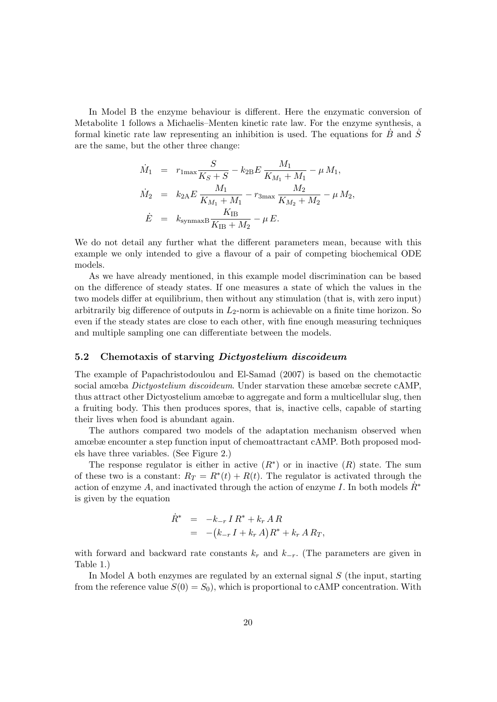In Model B the enzyme behaviour is different. Here the enzymatic conversion of Metabolite 1 follows a Michaelis–Menten kinetic rate law. For the enzyme synthesis, a formal kinetic rate law representing an inhibition is used. The equations for  $\tilde{B}$  and  $\tilde{S}$ are the same, but the other three change:

$$
\dot{M}_1 = r_{1\text{max}} \frac{S}{K_S + S} - k_{2\text{B}} E \frac{M_1}{K_{M_1} + M_1} - \mu M_1,
$$
\n
$$
\dot{M}_2 = k_{2\text{A}} E \frac{M_1}{K_{M_1} + M_1} - r_{3\text{max}} \frac{M_2}{K_{M_2} + M_2} - \mu M_2,
$$
\n
$$
\dot{E} = k_{\text{symmax}} B \frac{K_{\text{IB}}}{K_{\text{IB}} + M_2} - \mu E.
$$

We do not detail any further what the different parameters mean, because with this example we only intended to give a flavour of a pair of competing biochemical ODE models.

As we have already mentioned, in this example model discrimination can be based on the difference of steady states. If one measures a state of which the values in the two models differ at equilibrium, then without any stimulation (that is, with zero input) arbitrarily big difference of outputs in  $L_2$ -norm is achievable on a finite time horizon. So even if the steady states are close to each other, with fine enough measuring techniques and multiple sampling one can differentiate between the models.

#### 5.2 Chemotaxis of starving *Dictyostelium discoideum*

The example of Papachristodoulou and El-Samad (2007) is based on the chemotactic social amœba Dictyostelium discoideum. Under starvation these amœbæ secrete cAMP, thus attract other Dictyostelium amœbæ to aggregate and form a multicellular slug, then a fruiting body. This then produces spores, that is, inactive cells, capable of starting their lives when food is abundant again.

The authors compared two models of the adaptation mechanism observed when amœbæ encounter a step function input of chemoattractant cAMP. Both proposed models have three variables. (See Figure 2.)

The response regulator is either in active  $(R^*)$  or in inactive  $(R)$  state. The sum of these two is a constant:  $R_T = R^*(t) + R(t)$ . The regulator is activated through the action of enzyme A, and inactivated through the action of enzyme I. In both models  $\hat{R}^*$ is given by the equation

$$
\dot{R}^* = -k_{-r} I R^* + k_r A R \n= -(k_{-r} I + k_r A) R^* + k_r A R_T,
$$

with forward and backward rate constants  $k_r$  and  $k_{-r}$ . (The parameters are given in Table 1.)

In Model A both enzymes are regulated by an external signal  $S$  (the input, starting from the reference value  $S(0) = S_0$ , which is proportional to cAMP concentration. With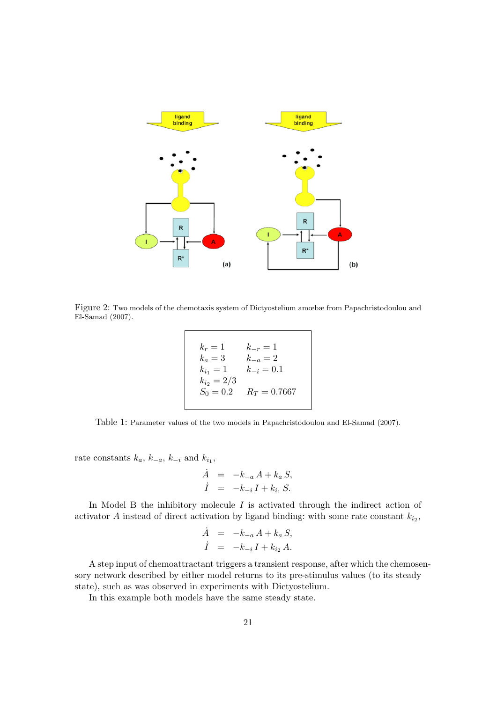

Figure 2: Two models of the chemotaxis system of Dictyostelium amœbæ from Papachristodoulou and El-Samad (2007).

$$
k_r = 1 \t k_{-r} = 1\nk_a = 3 \t k_{-a} = 2\nk_{i_1} = 1 \t k_{-i} = 0.1\nk_{i_2} = 2/3\nS_0 = 0.2 \t R_T = 0.7667
$$

Table 1: Parameter values of the two models in Papachristodoulou and El-Samad (2007).

rate constants  $k_a$ ,  $k_{-a}$ ,  $k_{-i}$  and  $k_{i_1}$ ,

$$
\dot{A} = -k_{-a} A + k_a S, \n\dot{I} = -k_{-i} I + k_{i_1} S.
$$

In Model B the inhibitory molecule  $I$  is activated through the indirect action of activator A instead of direct activation by ligand binding: with some rate constant  $k_{i_2}$ ,

$$
\dot{A} = -k_{-a} A + k_a S,
$$
  

$$
\dot{I} = -k_{-i} I + k_{i2} A.
$$

A step input of chemoattractant triggers a transient response, after which the chemosensory network described by either model returns to its pre-stimulus values (to its steady state), such as was observed in experiments with Dictyostelium.

In this example both models have the same steady state.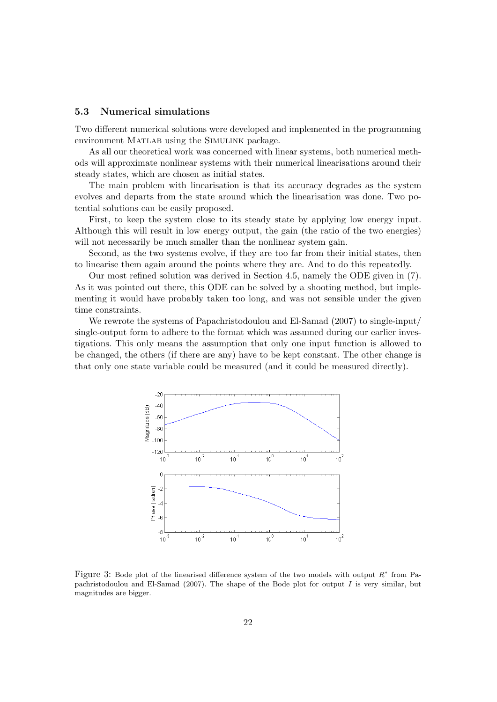#### 5.3 Numerical simulations

Two different numerical solutions were developed and implemented in the programming environment MATLAB using the SIMULINK package.

As all our theoretical work was concerned with linear systems, both numerical methods will approximate nonlinear systems with their numerical linearisations around their steady states, which are chosen as initial states.

The main problem with linearisation is that its accuracy degrades as the system evolves and departs from the state around which the linearisation was done. Two potential solutions can be easily proposed.

First, to keep the system close to its steady state by applying low energy input. Although this will result in low energy output, the gain (the ratio of the two energies) will not necessarily be much smaller than the nonlinear system gain.

Second, as the two systems evolve, if they are too far from their initial states, then to linearise them again around the points where they are. And to do this repeatedly.

Our most refined solution was derived in Section 4.5, namely the ODE given in (7). As it was pointed out there, this ODE can be solved by a shooting method, but implementing it would have probably taken too long, and was not sensible under the given time constraints.

We rewrote the systems of Papachristodoulou and El-Samad (2007) to single-input/ single-output form to adhere to the format which was assumed during our earlier investigations. This only means the assumption that only one input function is allowed to be changed, the others (if there are any) have to be kept constant. The other change is that only one state variable could be measured (and it could be measured directly).



Figure 3: Bode plot of the linearised difference system of the two models with output  $R^*$  from Papachristodoulou and El-Samad (2007). The shape of the Bode plot for output  $I$  is very similar, but magnitudes are bigger.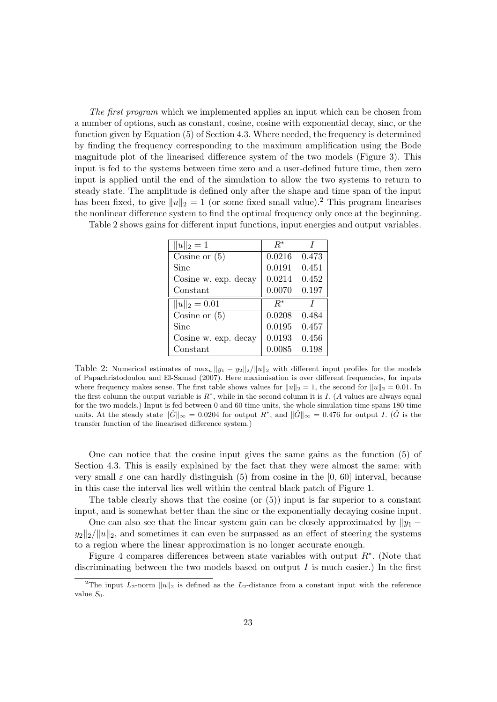The first program which we implemented applies an input which can be chosen from a number of options, such as constant, cosine, cosine with exponential decay, sinc, or the function given by Equation (5) of Section 4.3. Where needed, the frequency is determined by finding the frequency corresponding to the maximum amplification using the Bode magnitude plot of the linearised difference system of the two models (Figure 3). This input is fed to the systems between time zero and a user-defined future time, then zero input is applied until the end of the simulation to allow the two systems to return to steady state. The amplitude is defined only after the shape and time span of the input has been fixed, to give  $||u||_2 = 1$  (or some fixed small value).<sup>2</sup> This program linearises the nonlinear difference system to find the optimal frequency only once at the beginning.

Table 2 shows gains for different input functions, input energies and output variables.

| $  u  _2=1$          | $R^*$  |       |
|----------------------|--------|-------|
| Cosine or $(5)$      | 0.0216 | 0.473 |
| Sinc                 | 0.0191 | 0.451 |
| Cosine w. exp. decay | 0.0214 | 0.452 |
| Constant             | 0.0070 | 0.197 |
| $  u  _2 = 0.01$     | $R^*$  |       |
| Cosine or $(5)$      | 0.0208 | 0.484 |
| Sinc                 | 0.0195 | 0.457 |
| Cosine w. exp. decay | 0.0193 | 0.456 |
| Constant             | 0.0085 | 0.198 |

Table 2: Numerical estimates of  $\max_u \|y_1 - y_2\|_2 / \|u\|_2$  with different input profiles for the models of Papachristodoulou and El-Samad (2007). Here maximisation is over different frequencies, for inputs where frequency makes sense. The first table shows values for  $||u||_2 = 1$ , the second for  $||u||_2 = 0.01$ . In the first column the output variable is  $R^*$ , while in the second column it is I. (A values are always equal for the two models.) Input is fed between 0 and 60 time units, the whole simulation time spans 180 time units. At the steady state  $\|\hat{G}\|_{\infty} = 0.0204$  for output  $R^*$ , and  $\|\hat{G}\|_{\infty} = 0.476$  for output I. ( $\hat{G}$  is the transfer function of the linearised difference system.)

One can notice that the cosine input gives the same gains as the function (5) of Section 4.3. This is easily explained by the fact that they were almost the same: with very small  $\varepsilon$  one can hardly distinguish (5) from cosine in the [0, 60] interval, because in this case the interval lies well within the central black patch of Figure 1.

The table clearly shows that the cosine (or  $(5)$ ) input is far superior to a constant input, and is somewhat better than the sinc or the exponentially decaying cosine input.

One can also see that the linear system gain can be closely approximated by  $||y_1$  $y_2||_2/||u||_2$ , and sometimes it can even be surpassed as an effect of steering the systems to a region where the linear approximation is no longer accurate enough.

Figure 4 compares differences between state variables with output  $R^*$ . (Note that discriminating between the two models based on output  $I$  is much easier.) In the first

<sup>&</sup>lt;sup>2</sup>The input  $L_2$ -norm  $||u||_2$  is defined as the  $L_2$ -distance from a constant input with the reference value  $S_0$ .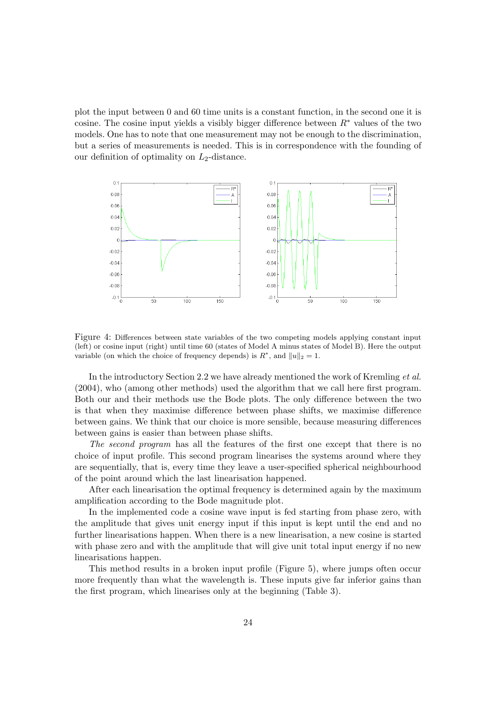plot the input between 0 and 60 time units is a constant function, in the second one it is cosine. The cosine input yields a visibly bigger difference between  $R^*$  values of the two models. One has to note that one measurement may not be enough to the discrimination, but a series of measurements is needed. This is in correspondence with the founding of our definition of optimality on  $L_2$ -distance.



Figure 4: Differences between state variables of the two competing models applying constant input (left) or cosine input (right) until time 60 (states of Model A minus states of Model B). Here the output variable (on which the choice of frequency depends) is  $R^*$ , and  $||u||_2 = 1$ .

In the introductory Section 2.2 we have already mentioned the work of Kremling et al. (2004), who (among other methods) used the algorithm that we call here first program. Both our and their methods use the Bode plots. The only difference between the two is that when they maximise difference between phase shifts, we maximise difference between gains. We think that our choice is more sensible, because measuring differences between gains is easier than between phase shifts.

The second program has all the features of the first one except that there is no choice of input profile. This second program linearises the systems around where they are sequentially, that is, every time they leave a user-specified spherical neighbourhood of the point around which the last linearisation happened.

After each linearisation the optimal frequency is determined again by the maximum amplification according to the Bode magnitude plot.

In the implemented code a cosine wave input is fed starting from phase zero, with the amplitude that gives unit energy input if this input is kept until the end and no further linearisations happen. When there is a new linearisation, a new cosine is started with phase zero and with the amplitude that will give unit total input energy if no new linearisations happen.

This method results in a broken input profile (Figure 5), where jumps often occur more frequently than what the wavelength is. These inputs give far inferior gains than the first program, which linearises only at the beginning (Table 3).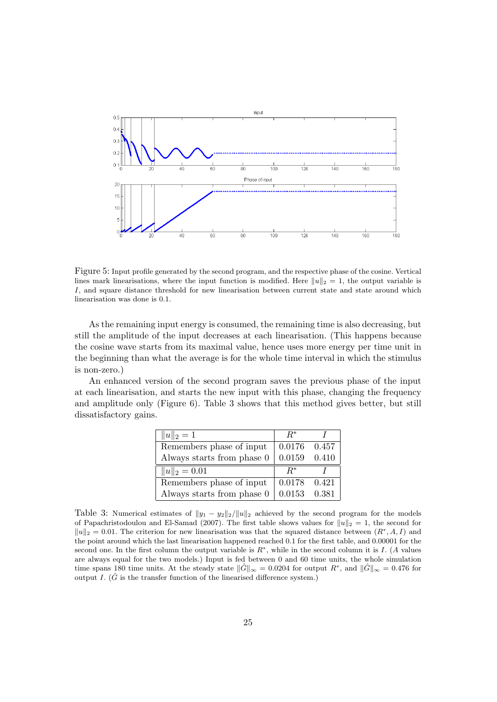

Figure 5: Input profile generated by the second program, and the respective phase of the cosine. Vertical lines mark linearisations, where the input function is modified. Here  $||u||_2 = 1$ , the output variable is I, and square distance threshold for new linearisation between current state and state around which linearisation was done is 0.1.

As the remaining input energy is consumed, the remaining time is also decreasing, but still the amplitude of the input decreases at each linearisation. (This happens because the cosine wave starts from its maximal value, hence uses more energy per time unit in the beginning than what the average is for the whole time interval in which the stimulus is non-zero.)

An enhanced version of the second program saves the previous phase of the input at each linearisation, and starts the new input with this phase, changing the frequency and amplitude only (Figure 6). Table 3 shows that this method gives better, but still dissatisfactory gains.

| $  u  _2 = 1$              | $R^*$  |       |
|----------------------------|--------|-------|
| Remembers phase of input   | 0.0176 | 0.457 |
| Always starts from phase 0 | 0.0159 | 0.410 |
|                            |        |       |
| $  u  _2 = 0.01$           | $R^*$  |       |
| Remembers phase of input   | 0.0178 | 0.421 |

Table 3: Numerical estimates of  $||y_1 - y_2||_2/||u||_2$  achieved by the second program for the models of Papachristodoulou and El-Samad (2007). The first table shows values for  $||u||_2 = 1$ , the second for  $||u||_2 = 0.01$ . The criterion for new linearisation was that the squared distance between  $(R^*, A, I)$  and the point around which the last linearisation happened reached 0.1 for the first table, and 0.00001 for the second one. In the first column the output variable is  $R^*$ , while in the second column it is I. (A values are always equal for the two models.) Input is fed between 0 and 60 time units, the whole simulation time spans 180 time units. At the steady state  $\|\hat{G}\|_{\infty} = 0.0204$  for output  $R^*$ , and  $\|\hat{G}\|_{\infty} = 0.476$  for output I.  $(\hat{G}$  is the transfer function of the linearised difference system.)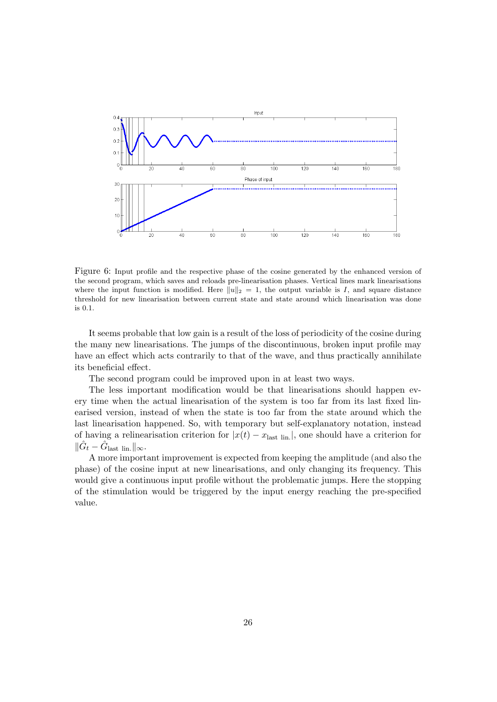

Figure 6: Input profile and the respective phase of the cosine generated by the enhanced version of the second program, which saves and reloads pre-linearisation phases. Vertical lines mark linearisations where the input function is modified. Here  $||u||_2 = 1$ , the output variable is I, and square distance threshold for new linearisation between current state and state around which linearisation was done is 0.1.

It seems probable that low gain is a result of the loss of periodicity of the cosine during the many new linearisations. The jumps of the discontinuous, broken input profile may have an effect which acts contrarily to that of the wave, and thus practically annihilate its beneficial effect.

The second program could be improved upon in at least two ways.

The less important modification would be that linearisations should happen every time when the actual linearisation of the system is too far from its last fixed linearised version, instead of when the state is too far from the state around which the last linearisation happened. So, with temporary but self-explanatory notation, instead of having a relinearisation criterion for  $|x(t) - x_{\text{last lin.}}|$ , one should have a criterion for  $\|\hat{G}_t - \hat{G}_{\text{last lin.}}\|_{\infty}.$ 

A more important improvement is expected from keeping the amplitude (and also the phase) of the cosine input at new linearisations, and only changing its frequency. This would give a continuous input profile without the problematic jumps. Here the stopping of the stimulation would be triggered by the input energy reaching the pre-specified value.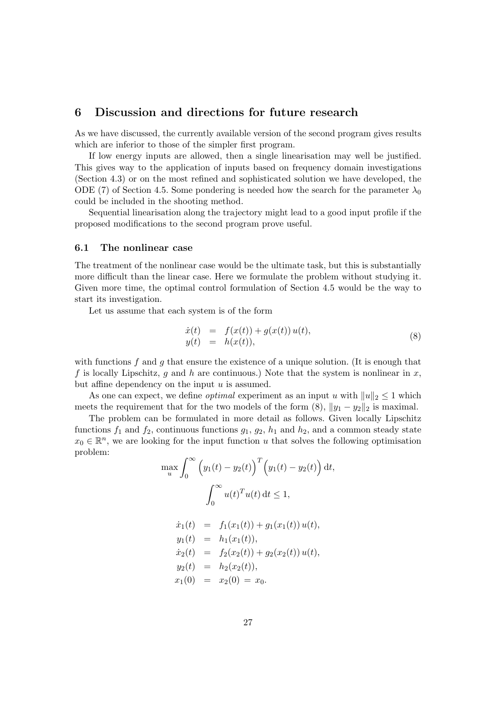### 6 Discussion and directions for future research

As we have discussed, the currently available version of the second program gives results which are inferior to those of the simpler first program.

If low energy inputs are allowed, then a single linearisation may well be justified. This gives way to the application of inputs based on frequency domain investigations (Section 4.3) or on the most refined and sophisticated solution we have developed, the ODE (7) of Section 4.5. Some pondering is needed how the search for the parameter  $\lambda_0$ could be included in the shooting method.

Sequential linearisation along the trajectory might lead to a good input profile if the proposed modifications to the second program prove useful.

#### 6.1 The nonlinear case

The treatment of the nonlinear case would be the ultimate task, but this is substantially more difficult than the linear case. Here we formulate the problem without studying it. Given more time, the optimal control formulation of Section 4.5 would be the way to start its investigation.

Let us assume that each system is of the form

$$
\begin{array}{rcl}\n\dot{x}(t) & = & f(x(t)) + g(x(t)) u(t), \\
y(t) & = & h(x(t)),\n\end{array} \tag{8}
$$

with functions f and q that ensure the existence of a unique solution. (It is enough that f is locally Lipschitz, g and h are continuous.) Note that the system is nonlinear in x, but affine dependency on the input  $u$  is assumed.

As one can expect, we define *optimal* experiment as an input u with  $||u||_2 \leq 1$  which meets the requirement that for the two models of the form  $(8)$ ,  $||y_1 - y_2||_2$  is maximal.

The problem can be formulated in more detail as follows. Given locally Lipschitz functions  $f_1$  and  $f_2$ , continuous functions  $g_1, g_2, h_1$  and  $h_2$ , and a common steady state  $x_0 \in \mathbb{R}^n$ , we are looking for the input function u that solves the following optimisation problem:

$$
\max_{u} \int_{0}^{\infty} (y_1(t) - y_2(t))^{T} (y_1(t) - y_2(t)) dt,
$$
  

$$
\int_{0}^{\infty} u(t)^{T} u(t) dt \le 1,
$$
  

$$
\dot{x}_1(t) = f_1(x_1(t)) + g_1(x_1(t)) u(t),
$$
  

$$
y_1(t) = h_1(x_1(t)),
$$
  

$$
\dot{x}_2(t) = f_2(x_2(t)) + g_2(x_2(t)) u(t),
$$
  

$$
y_2(t) = h_2(x_2(t)),
$$
  

$$
x_1(0) = x_2(0) = x_0.
$$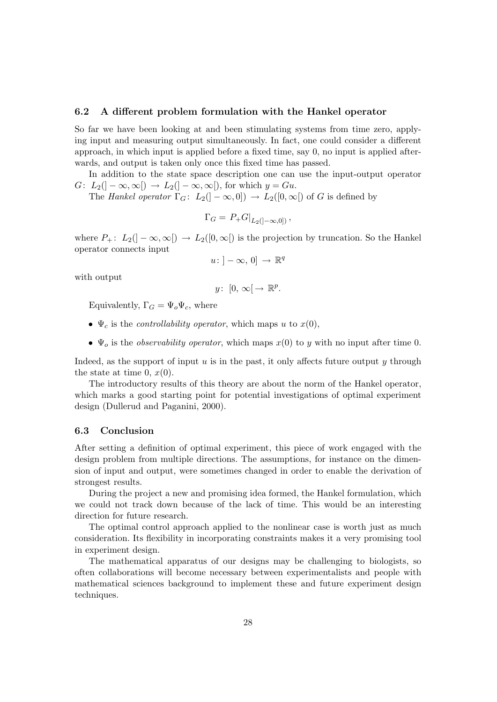#### 6.2 A different problem formulation with the Hankel operator

So far we have been looking at and been stimulating systems from time zero, applying input and measuring output simultaneously. In fact, one could consider a different approach, in which input is applied before a fixed time, say 0, no input is applied afterwards, and output is taken only once this fixed time has passed.

In addition to the state space description one can use the input-output operator  $G: L_2(]-\infty,\infty[) \to L_2(]-\infty,\infty[)$ , for which  $y = Gu$ .

The Hankel operator  $\Gamma_G: L_2(-\infty,0]) \to L_2([0,\infty])$  of G is defined by

$$
\Gamma_G = P_+ G|_{L_2(]-\infty,0]},
$$

where  $P_+$ :  $L_2(]-\infty,\infty[) \to L_2([0,\infty[)$  is the projection by truncation. So the Hankel operator connects input

$$
u: ]-\infty, 0] \to \mathbb{R}^q
$$

with output

$$
y\colon [0, \infty[ \to \mathbb{R}^p.
$$

Equivalently,  $\Gamma_G = \Psi_o \Psi_c$ , where

- $\Psi_c$  is the *controllability operator*, which maps u to  $x(0)$ ,
- $\Psi_o$  is the *observability operator*, which maps  $x(0)$  to y with no input after time 0.

Indeed, as the support of input  $u$  is in the past, it only affects future output  $y$  through the state at time 0,  $x(0)$ .

The introductory results of this theory are about the norm of the Hankel operator, which marks a good starting point for potential investigations of optimal experiment design (Dullerud and Paganini, 2000).

#### 6.3 Conclusion

After setting a definition of optimal experiment, this piece of work engaged with the design problem from multiple directions. The assumptions, for instance on the dimension of input and output, were sometimes changed in order to enable the derivation of strongest results.

During the project a new and promising idea formed, the Hankel formulation, which we could not track down because of the lack of time. This would be an interesting direction for future research.

The optimal control approach applied to the nonlinear case is worth just as much consideration. Its flexibility in incorporating constraints makes it a very promising tool in experiment design.

The mathematical apparatus of our designs may be challenging to biologists, so often collaborations will become necessary between experimentalists and people with mathematical sciences background to implement these and future experiment design techniques.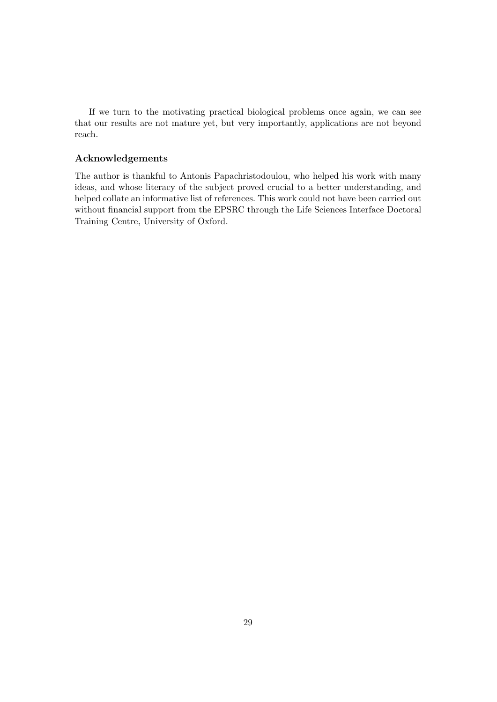If we turn to the motivating practical biological problems once again, we can see that our results are not mature yet, but very importantly, applications are not beyond reach.

#### Acknowledgements

The author is thankful to Antonis Papachristodoulou, who helped his work with many ideas, and whose literacy of the subject proved crucial to a better understanding, and helped collate an informative list of references. This work could not have been carried out without financial support from the EPSRC through the Life Sciences Interface Doctoral Training Centre, University of Oxford.